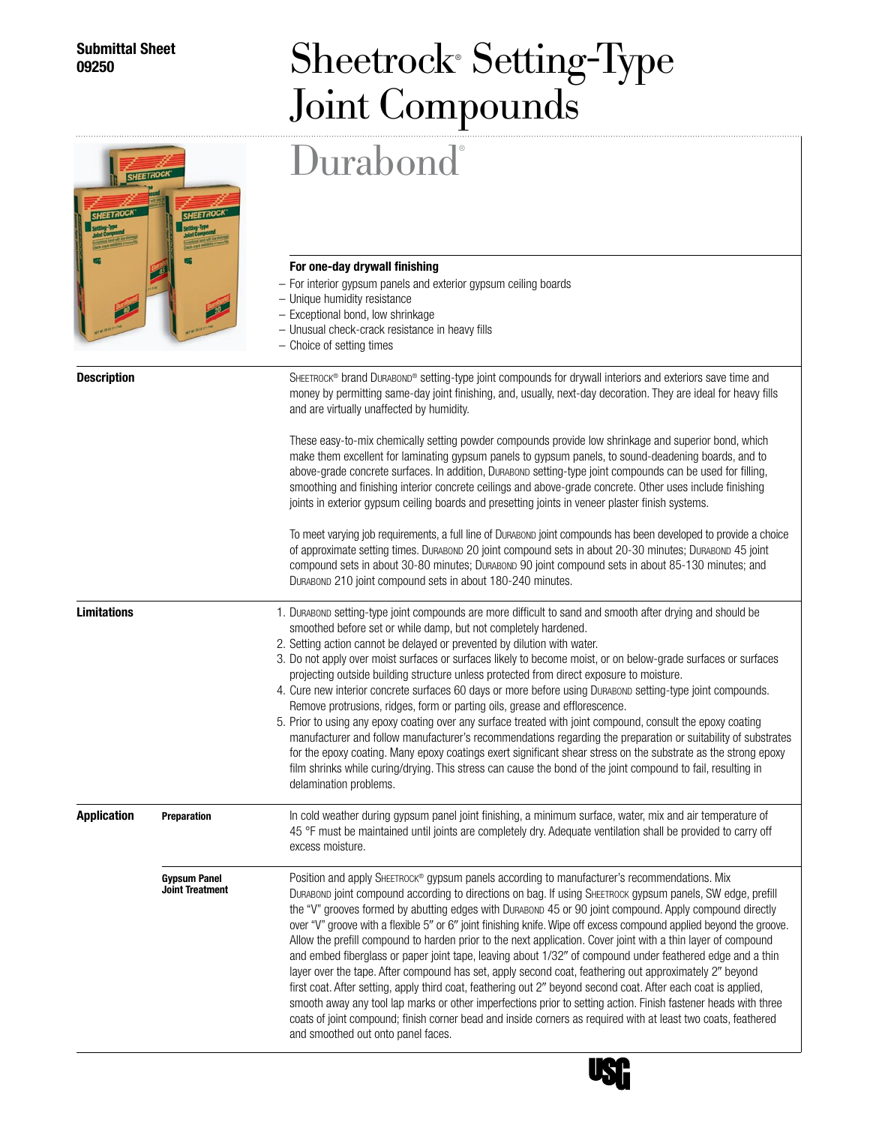## **Submittal Sheet**

## **Sheetrock®** Setting-Type Joint Compounds

|                    |                                               | Durabond®                                                                                                                                                                                                                                                                                                                                                                                                                                                                                                                                                                                                                                                                                                                                                                                                                                                                                                                                                                                                                                                                                                                                                                        |
|--------------------|-----------------------------------------------|----------------------------------------------------------------------------------------------------------------------------------------------------------------------------------------------------------------------------------------------------------------------------------------------------------------------------------------------------------------------------------------------------------------------------------------------------------------------------------------------------------------------------------------------------------------------------------------------------------------------------------------------------------------------------------------------------------------------------------------------------------------------------------------------------------------------------------------------------------------------------------------------------------------------------------------------------------------------------------------------------------------------------------------------------------------------------------------------------------------------------------------------------------------------------------|
|                    |                                               | For one-day drywall finishing<br>- For interior gypsum panels and exterior gypsum ceiling boards<br>- Unique humidity resistance<br>- Exceptional bond, low shrinkage<br>- Unusual check-crack resistance in heavy fills<br>- Choice of setting times                                                                                                                                                                                                                                                                                                                                                                                                                                                                                                                                                                                                                                                                                                                                                                                                                                                                                                                            |
| <b>Description</b> |                                               | SHEETROCK® brand DURABOND® setting-type joint compounds for drywall interiors and exteriors save time and<br>money by permitting same-day joint finishing, and, usually, next-day decoration. They are ideal for heavy fills<br>and are virtually unaffected by humidity.                                                                                                                                                                                                                                                                                                                                                                                                                                                                                                                                                                                                                                                                                                                                                                                                                                                                                                        |
|                    |                                               | These easy-to-mix chemically setting powder compounds provide low shrinkage and superior bond, which<br>make them excellent for laminating gypsum panels to gypsum panels, to sound-deadening boards, and to<br>above-grade concrete surfaces. In addition, DuraBond setting-type joint compounds can be used for filling,<br>smoothing and finishing interior concrete ceilings and above-grade concrete. Other uses include finishing<br>joints in exterior gypsum ceiling boards and presetting joints in veneer plaster finish systems.                                                                                                                                                                                                                                                                                                                                                                                                                                                                                                                                                                                                                                      |
|                    |                                               | To meet varying job requirements, a full line of Durasono joint compounds has been developed to provide a choice<br>of approximate setting times. Durasono 20 joint compound sets in about 20-30 minutes; Durasono 45 joint<br>compound sets in about 30-80 minutes; DURABOND 90 joint compound sets in about 85-130 minutes; and<br>DURABOND 210 joint compound sets in about 180-240 minutes.                                                                                                                                                                                                                                                                                                                                                                                                                                                                                                                                                                                                                                                                                                                                                                                  |
| <b>Limitations</b> |                                               | 1. Durabond setting-type joint compounds are more difficult to sand and smooth after drying and should be<br>smoothed before set or while damp, but not completely hardened.<br>2. Setting action cannot be delayed or prevented by dilution with water.<br>3. Do not apply over moist surfaces or surfaces likely to become moist, or on below-grade surfaces or surfaces<br>projecting outside building structure unless protected from direct exposure to moisture.<br>4. Cure new interior concrete surfaces 60 days or more before using Durason setting-type joint compounds.<br>Remove protrusions, ridges, form or parting oils, grease and efflorescence.<br>5. Prior to using any epoxy coating over any surface treated with joint compound, consult the epoxy coating<br>manufacturer and follow manufacturer's recommendations regarding the preparation or suitability of substrates<br>for the epoxy coating. Many epoxy coatings exert significant shear stress on the substrate as the strong epoxy<br>film shrinks while curing/drying. This stress can cause the bond of the joint compound to fail, resulting in<br>delamination problems.                   |
| <b>Application</b> | <b>Preparation</b>                            | In cold weather during gypsum panel joint finishing, a minimum surface, water, mix and air temperature of<br>45 °F must be maintained until joints are completely dry. Adequate ventilation shall be provided to carry off<br>excess moisture.                                                                                                                                                                                                                                                                                                                                                                                                                                                                                                                                                                                                                                                                                                                                                                                                                                                                                                                                   |
|                    | <b>Gypsum Panel</b><br><b>Joint Treatment</b> | Position and apply SHEETROCK® gypsum panels according to manufacturer's recommendations. Mix<br>DURABOND joint compound according to directions on bag. If using SHEETROCK gypsum panels, SW edge, prefill<br>the "V" grooves formed by abutting edges with DurABOND 45 or 90 joint compound. Apply compound directly<br>over "V" groove with a flexible 5" or 6" joint finishing knife. Wipe off excess compound applied beyond the groove.<br>Allow the prefill compound to harden prior to the next application. Cover joint with a thin layer of compound<br>and embed fiberglass or paper joint tape, leaving about 1/32" of compound under feathered edge and a thin<br>layer over the tape. After compound has set, apply second coat, feathering out approximately 2" beyond<br>first coat. After setting, apply third coat, feathering out 2" beyond second coat. After each coat is applied,<br>smooth away any tool lap marks or other imperfections prior to setting action. Finish fastener heads with three<br>coats of joint compound; finish corner bead and inside corners as required with at least two coats, feathered<br>and smoothed out onto panel faces. |



┚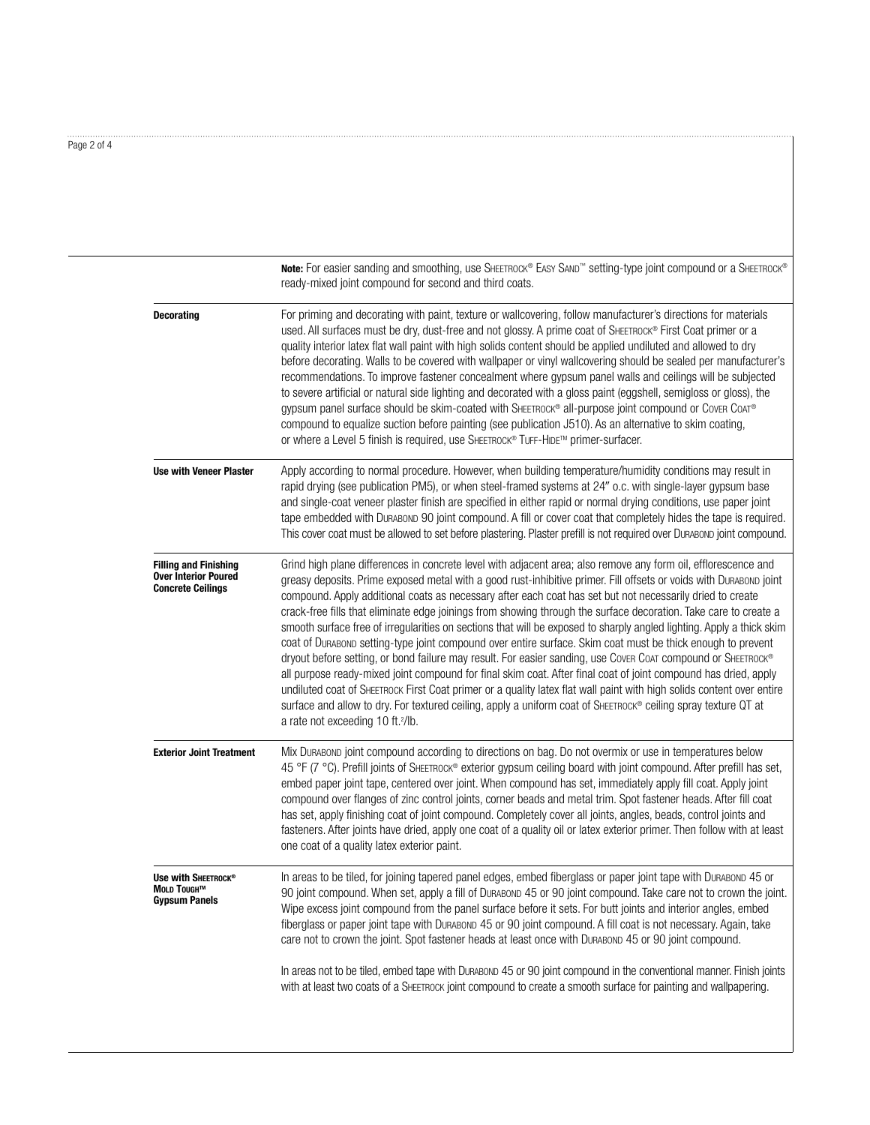| Page 2 of 4 |  |  |
|-------------|--|--|
|             |  |  |

**Note:** For easier sanding and smoothing, use SHEETROCK® EASY SAND™ setting-type joint compound or a SHEETROCK® ready-mixed joint compound for second and third coats. **Decorating** For priming and decorating with paint, texture or wallcovering, follow manufacturer's directions for materials used. All surfaces must be dry, dust-free and not glossy. A prime coat of SHEETROCK® First Coat primer or a quality interior latex flat wall paint with high solids content should be applied undiluted and allowed to dry before decorating. Walls to be covered with wallpaper or vinyl wallcovering should be sealed per manufacturer's recommendations. To improve fastener concealment where gypsum panel walls and ceilings will be subjected to severe artificial or natural side lighting and decorated with a gloss paint (eggshell, semigloss or gloss), the gypsum panel surface should be skim-coated with SHEETROCK® all-purpose joint compound or Cover CoAT® compound to equalize suction before painting (see publication J510). As an alternative to skim coating, or where a Level 5 finish is required, use SHEETROCK® TUFF-HIDE™ primer-surfacer. **Use with Veneer Plaster** Apply according to normal procedure. However, when building temperature/humidity conditions may result in rapid drying (see publication PM5), or when steel-framed systems at 24" o.c. with single-layer gypsum base and single-coat veneer plaster finish are specified in either rapid or normal drying conditions, use paper joint tape embedded with Durabond 90 joint compound. A fill or cover coat that completely hides the tape is required. This cover coat must be allowed to set before plastering. Plaster prefill is not required over Durabond joint compound. **Filling and Finishing** Grind high plane differences in concrete level with adjacent area; also remove any form oil, efflorescence and **Over Interior Poured** and **Concrete and Concrete and Concrete any form of the concrete uver interior Poured** greasy deposits. Prime exposed metal with a good rust-inhibitive primer. Fill offsets or voids with Durasono joint<br>**Concrete Ceilings** compound. Apply additional coats as necessary after each coat ha crack-free fills that eliminate edge joinings from showing through the surface decoration. Take care to create a smooth surface free of irregularities on sections that will be exposed to sharply angled lighting. Apply a thick skim coat of Durabond setting-type joint compound over entire surface. Skim coat must be thick enough to prevent dryout before setting, or bond failure may result. For easier sanding, use Cover CoAT compound or SHEETROCK® all purpose ready-mixed joint compound for final skim coat. After final coat of joint compound has dried, apply undiluted coat of Sheetrock First Coat primer or a quality latex flat wall paint with high solids content over entire surface and allow to dry. For textured ceiling, apply a uniform coat of SHEETROCK® ceiling spray texture QT at a rate not exceeding 10 ft.<sup>2</sup>/lb. **Exterior Joint Treatment** Mix Durabond joint compound according to directions on bag. Do not overmix or use in temperatures below 45 °F (7 °C). Prefill joints of SHEETROCK® exterior gypsum ceiling board with joint compound. After prefill has set, embed paper joint tape, centered over joint. When compound has set, immediately apply fill coat. Apply joint compound over flanges of zinc control joints, corner beads and metal trim. Spot fastener heads. After fill coat has set, apply finishing coat of joint compound. Completely cover all joints, angles, beads, control joints and fasteners. After joints have dried, apply one coat of a quality oil or latex exterior primer. Then follow with at least one coat of a quality latex exterior paint. **Use with Sheetrock®** In areas to be tiled, for joining tapered panel edges, embed fiberglass or paper joint tape with Durabond 45 or<br>Main Tause<sup>rm</sup> 00 init compaund Whap ast, apply a fill of Durapoun 45 or 00 init compau Moup Tous and Tous and Tous The interpretation of Dukaboru 45 or 90 joint compound. Take care not to crown the joint.<br>Gypsum Panels states the excess joint compound from the panel surface before it sets. For butt joints a fiberglass or paper joint tape with Durabond 45 or 90 joint compound. A fill coat is not necessary. Again, take care not to crown the joint. Spot fastener heads at least once with Durabond 45 or 90 joint compound. In areas not to be tiled, embed tape with Durabond 45 or 90 joint compound in the conventional manner. Finish joints with at least two coats of a Sheetrock joint compound to create a smooth surface for painting and wallpapering.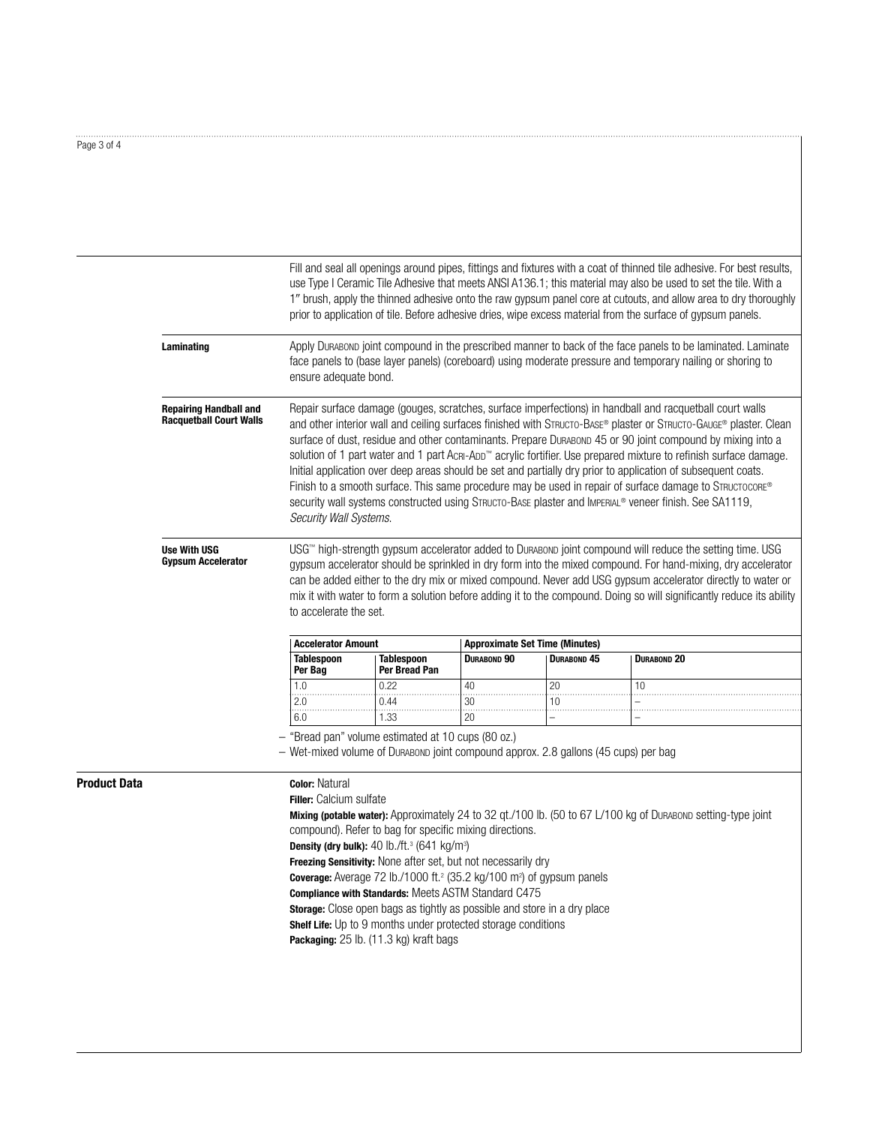**Product Data** 

|                                                                                                                                                                                                                                                                  |                                                                                                                                                                                                                                                                                                                                                                                                                                                                                            |                                                                                                                                           |                    |                                       | Fill and seal all openings around pipes, fittings and fixtures with a coat of thinned tile adhesive. For best results,<br>use Type I Ceramic Tile Adhesive that meets ANSI A136.1; this material may also be used to set the tile. With a<br>1" brush, apply the thinned adhesive onto the raw gypsum panel core at cutouts, and allow area to dry thoroughly<br>prior to application of tile. Before adhesive dries, wipe excess material from the surface of gypsum panels.                                                                                                                                                                                                                                                                                                                         |  |  |
|------------------------------------------------------------------------------------------------------------------------------------------------------------------------------------------------------------------------------------------------------------------|--------------------------------------------------------------------------------------------------------------------------------------------------------------------------------------------------------------------------------------------------------------------------------------------------------------------------------------------------------------------------------------------------------------------------------------------------------------------------------------------|-------------------------------------------------------------------------------------------------------------------------------------------|--------------------|---------------------------------------|-------------------------------------------------------------------------------------------------------------------------------------------------------------------------------------------------------------------------------------------------------------------------------------------------------------------------------------------------------------------------------------------------------------------------------------------------------------------------------------------------------------------------------------------------------------------------------------------------------------------------------------------------------------------------------------------------------------------------------------------------------------------------------------------------------|--|--|
| Apply Durasonp joint compound in the prescribed manner to back of the face panels to be laminated. Laminate<br>Laminating<br>face panels to (base layer panels) (coreboard) using moderate pressure and temporary nailing or shoring to<br>ensure adequate bond. |                                                                                                                                                                                                                                                                                                                                                                                                                                                                                            |                                                                                                                                           |                    |                                       |                                                                                                                                                                                                                                                                                                                                                                                                                                                                                                                                                                                                                                                                                                                                                                                                       |  |  |
| <b>Repairing Handball and</b><br><b>Racquetball Court Walls</b>                                                                                                                                                                                                  | Security Wall Systems.                                                                                                                                                                                                                                                                                                                                                                                                                                                                     |                                                                                                                                           |                    |                                       | Repair surface damage (gouges, scratches, surface imperfections) in handball and racquetball court walls<br>and other interior wall and ceiling surfaces finished with STRUCTO-BASE® plaster or STRUCTO-GAUGE® plaster. Clean<br>surface of dust, residue and other contaminants. Prepare DurABOND 45 or 90 joint compound by mixing into a<br>solution of 1 part water and 1 part AcRI-ADD™ acrylic fortifier. Use prepared mixture to refinish surface damage.<br>Initial application over deep areas should be set and partially dry prior to application of subsequent coats.<br>Finish to a smooth surface. This same procedure may be used in repair of surface damage to STRUCTOCORE®<br>security wall systems constructed using STRUCTO-BASE plaster and IMPERIAL® veneer finish. See SA1119, |  |  |
| <b>Use With USG</b><br><b>Gypsum Accelerator</b>                                                                                                                                                                                                                 | USG™ high-strength gypsum accelerator added to DuRABOND joint compound will reduce the setting time. USG<br>gypsum accelerator should be sprinkled in dry form into the mixed compound. For hand-mixing, dry accelerator<br>can be added either to the dry mix or mixed compound. Never add USG gypsum accelerator directly to water or<br>mix it with water to form a solution before adding it to the compound. Doing so will significantly reduce its ability<br>to accelerate the set. |                                                                                                                                           |                    |                                       |                                                                                                                                                                                                                                                                                                                                                                                                                                                                                                                                                                                                                                                                                                                                                                                                       |  |  |
|                                                                                                                                                                                                                                                                  | <b>Accelerator Amount</b>                                                                                                                                                                                                                                                                                                                                                                                                                                                                  |                                                                                                                                           |                    | <b>Approximate Set Time (Minutes)</b> |                                                                                                                                                                                                                                                                                                                                                                                                                                                                                                                                                                                                                                                                                                                                                                                                       |  |  |
|                                                                                                                                                                                                                                                                  | <b>Tablespoon</b><br>Per Bag                                                                                                                                                                                                                                                                                                                                                                                                                                                               | <b>Tablespoon</b><br>Per Bread Pan                                                                                                        | <b>DURABOND 90</b> | <b>DURABOND 45</b>                    | <b>DURABOND 20</b>                                                                                                                                                                                                                                                                                                                                                                                                                                                                                                                                                                                                                                                                                                                                                                                    |  |  |
|                                                                                                                                                                                                                                                                  | 1.0                                                                                                                                                                                                                                                                                                                                                                                                                                                                                        | 0.22                                                                                                                                      | 40                 | 20                                    | 10                                                                                                                                                                                                                                                                                                                                                                                                                                                                                                                                                                                                                                                                                                                                                                                                    |  |  |
|                                                                                                                                                                                                                                                                  | 2.0                                                                                                                                                                                                                                                                                                                                                                                                                                                                                        | 0.44                                                                                                                                      | $\overline{30}$    | 10                                    |                                                                                                                                                                                                                                                                                                                                                                                                                                                                                                                                                                                                                                                                                                                                                                                                       |  |  |
|                                                                                                                                                                                                                                                                  | 6.0                                                                                                                                                                                                                                                                                                                                                                                                                                                                                        | 1.33                                                                                                                                      | 20                 | $\cdots$<br>$\overline{a}$            |                                                                                                                                                                                                                                                                                                                                                                                                                                                                                                                                                                                                                                                                                                                                                                                                       |  |  |
|                                                                                                                                                                                                                                                                  |                                                                                                                                                                                                                                                                                                                                                                                                                                                                                            | - "Bread pan" volume estimated at 10 cups (80 oz.)<br>- Wet-mixed volume of Durabonp joint compound approx. 2.8 gallons (45 cups) per bag |                    |                                       |                                                                                                                                                                                                                                                                                                                                                                                                                                                                                                                                                                                                                                                                                                                                                                                                       |  |  |
|                                                                                                                                                                                                                                                                  | <b>Color: Natural</b><br><b>Filler:</b> Calcium sulfate                                                                                                                                                                                                                                                                                                                                                                                                                                    |                                                                                                                                           |                    |                                       |                                                                                                                                                                                                                                                                                                                                                                                                                                                                                                                                                                                                                                                                                                                                                                                                       |  |  |

. . . . . . . . . . . . . .